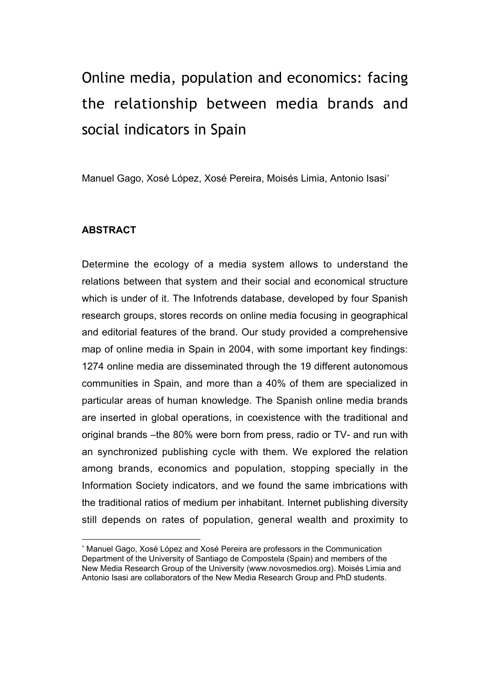# Online media, population and economics: facing the relationship between media brands and social indicators in Spain

Manuel Gago, Xosé López, Xosé Pereira, Moisés Limia, Antonio Isasi<sup>∗</sup>

# **ABSTRACT**

 $\overline{a}$ 

Determine the ecology of a media system allows to understand the relations between that system and their social and economical structure which is under of it. The Infotrends database, developed by four Spanish research groups, stores records on online media focusing in geographical and editorial features of the brand. Our study provided a comprehensive map of online media in Spain in 2004, with some important key findings: 1274 online media are disseminated through the 19 different autonomous communities in Spain, and more than a 40% of them are specialized in particular areas of human knowledge. The Spanish online media brands are inserted in global operations, in coexistence with the traditional and original brands –the 80% were born from press, radio or TV- and run with an synchronized publishing cycle with them. We explored the relation among brands, economics and population, stopping specially in the Information Society indicators, and we found the same imbrications with the traditional ratios of medium per inhabitant. Internet publishing diversity still depends on rates of population, general wealth and proximity to

<sup>∗</sup> Manuel Gago, Xosé López and Xosé Pereira are professors in the Communication Department of the University of Santiago de Compostela (Spain) and members of the New Media Research Group of the University (www.novosmedios.org). Moisés Limia and Antonio Isasi are collaborators of the New Media Research Group and PhD students.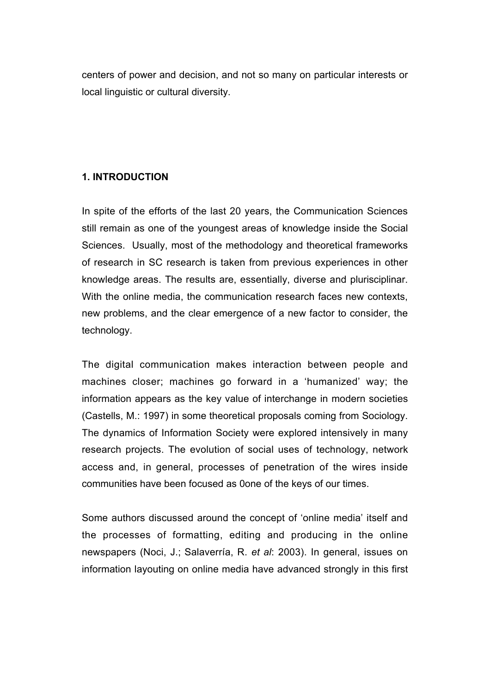centers of power and decision, and not so many on particular interests or local linguistic or cultural diversity.

# **1. INTRODUCTION**

In spite of the efforts of the last 20 years, the Communication Sciences still remain as one of the youngest areas of knowledge inside the Social Sciences. Usually, most of the methodology and theoretical frameworks of research in SC research is taken from previous experiences in other knowledge areas. The results are, essentially, diverse and plurisciplinar. With the online media, the communication research faces new contexts, new problems, and the clear emergence of a new factor to consider, the technology.

The digital communication makes interaction between people and machines closer; machines go forward in a 'humanized' way; the information appears as the key value of interchange in modern societies (Castells, M.: 1997) in some theoretical proposals coming from Sociology. The dynamics of Information Society were explored intensively in many research projects. The evolution of social uses of technology, network access and, in general, processes of penetration of the wires inside communities have been focused as 0one of the keys of our times.

Some authors discussed around the concept of 'online media' itself and the processes of formatting, editing and producing in the online newspapers (Noci, J.; Salaverría, R. *et al*: 2003). In general, issues on information layouting on online media have advanced strongly in this first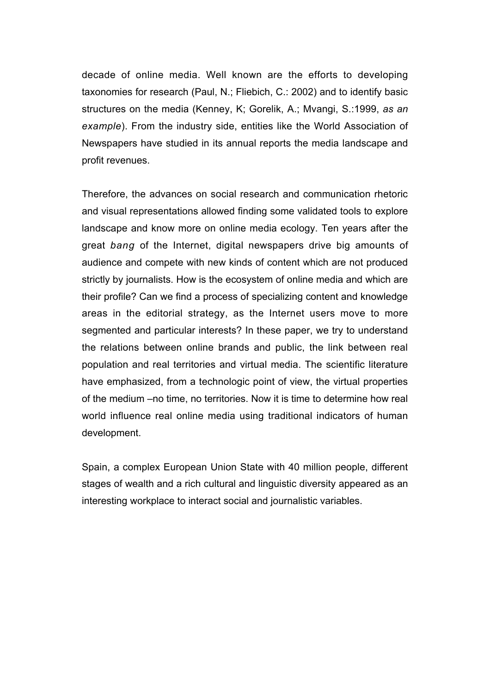decade of online media. Well known are the efforts to developing taxonomies for research (Paul, N.; Fliebich, C.: 2002) and to identify basic structures on the media (Kenney, K; Gorelik, A.; Mvangi, S.:1999, *as an example*). From the industry side, entities like the World Association of Newspapers have studied in its annual reports the media landscape and profit revenues.

Therefore, the advances on social research and communication rhetoric and visual representations allowed finding some validated tools to explore landscape and know more on online media ecology. Ten years after the great *bang* of the Internet, digital newspapers drive big amounts of audience and compete with new kinds of content which are not produced strictly by journalists. How is the ecosystem of online media and which are their profile? Can we find a process of specializing content and knowledge areas in the editorial strategy, as the Internet users move to more segmented and particular interests? In these paper, we try to understand the relations between online brands and public, the link between real population and real territories and virtual media. The scientific literature have emphasized, from a technologic point of view, the virtual properties of the medium –no time, no territories. Now it is time to determine how real world influence real online media using traditional indicators of human development.

Spain, a complex European Union State with 40 million people, different stages of wealth and a rich cultural and linguistic diversity appeared as an interesting workplace to interact social and journalistic variables.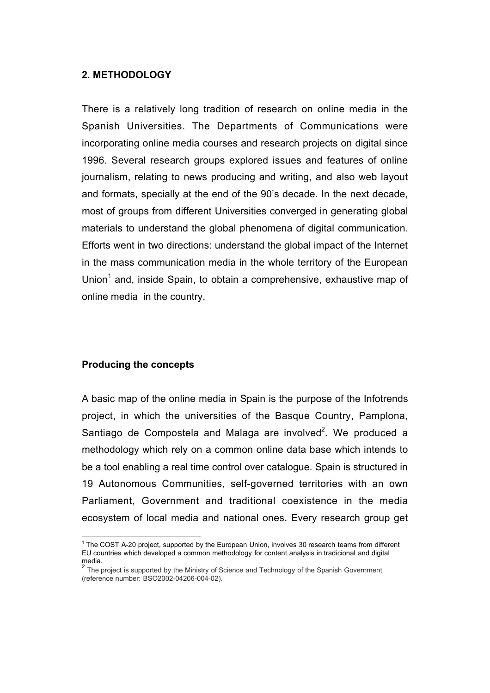## **2. METHODOLOGY**

There is a relatively long tradition of research on online media in the Spanish Universities. The Departments of Communications were incorporating online media courses and research projects on digital since 1996. Several research groups explored issues and features of online journalism, relating to news producing and writing, and also web layout and formats, specially at the end of the 90's decade. In the next decade, most of groups from different Universities converged in generating global materials to understand the global phenomena of digital communication. Efforts went in two directions: understand the global impact of the Internet in the mass communication media in the whole territory of the European Union<sup>1</sup> and, inside Spain, to obtain a comprehensive, exhaustive map of online media in the country.

## **Producing the concepts**

A basic map of the online media in Spain is the purpose of the Infotrends project, in which the universities of the Basque Country, Pamplona, Santiago de Compostela and Malaga are involved<sup>2</sup>. We produced a methodology which rely on a common online data base which intends to be a tool enabling a real time control over catalogue. Spain is structured in 19 Autonomous Communities, self-governed territories with an own Parliament, Government and traditional coexistence in the media ecosystem of local media and national ones. Every research group get

 $\frac{1}{1}$ <sup>1</sup> The COST A-20 project, supported by the European Union, involves 30 research teams from different EU countries which developed a common methodology for content analysis in tradicional and digital media.

The project is supported by the Ministry of Science and Technology of the Spanish Government (reference number: BSO2002-04206-004-02).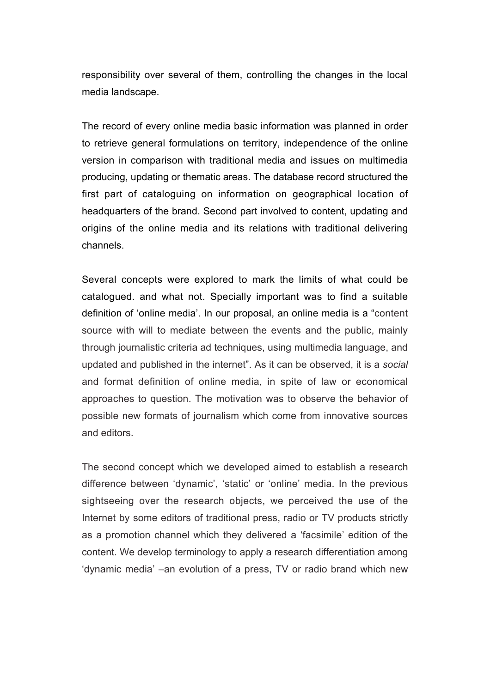responsibility over several of them, controlling the changes in the local media landscape.

The record of every online media basic information was planned in order to retrieve general formulations on territory, independence of the online version in comparison with traditional media and issues on multimedia producing, updating or thematic areas. The database record structured the first part of cataloguing on information on geographical location of headquarters of the brand. Second part involved to content, updating and origins of the online media and its relations with traditional delivering channels.

Several concepts were explored to mark the limits of what could be catalogued. and what not. Specially important was to find a suitable definition of 'online media'. In our proposal, an online media is a "content source with will to mediate between the events and the public, mainly through journalistic criteria ad techniques, using multimedia language, and updated and published in the internet". As it can be observed, it is a *social* and format definition of online media, in spite of law or economical approaches to question. The motivation was to observe the behavior of possible new formats of journalism which come from innovative sources and editors.

The second concept which we developed aimed to establish a research difference between 'dynamic', 'static' or 'online' media. In the previous sightseeing over the research objects, we perceived the use of the Internet by some editors of traditional press, radio or TV products strictly as a promotion channel which they delivered a 'facsimile' edition of the content. We develop terminology to apply a research differentiation among 'dynamic media' –an evolution of a press, TV or radio brand which new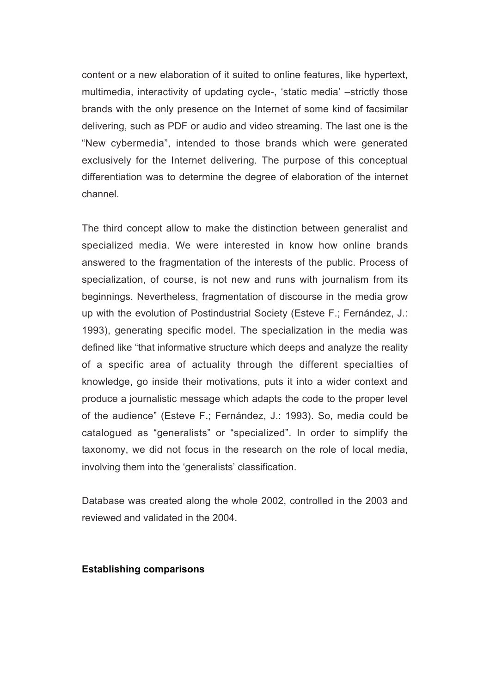content or a new elaboration of it suited to online features, like hypertext, multimedia, interactivity of updating cycle-, 'static media' –strictly those brands with the only presence on the Internet of some kind of facsimilar delivering, such as PDF or audio and video streaming. The last one is the "New cybermedia", intended to those brands which were generated exclusively for the Internet delivering. The purpose of this conceptual differentiation was to determine the degree of elaboration of the internet channel.

The third concept allow to make the distinction between generalist and specialized media. We were interested in know how online brands answered to the fragmentation of the interests of the public. Process of specialization, of course, is not new and runs with journalism from its beginnings. Nevertheless, fragmentation of discourse in the media grow up with the evolution of Postindustrial Society (Esteve F.; Fernández, J.: 1993), generating specific model. The specialization in the media was defined like "that informative structure which deeps and analyze the reality of a specific area of actuality through the different specialties of knowledge, go inside their motivations, puts it into a wider context and produce a journalistic message which adapts the code to the proper level of the audience" (Esteve F.; Fernández, J.: 1993). So, media could be catalogued as "generalists" or "specialized". In order to simplify the taxonomy, we did not focus in the research on the role of local media, involving them into the 'generalists' classification.

Database was created along the whole 2002, controlled in the 2003 and reviewed and validated in the 2004.

**Establishing comparisons**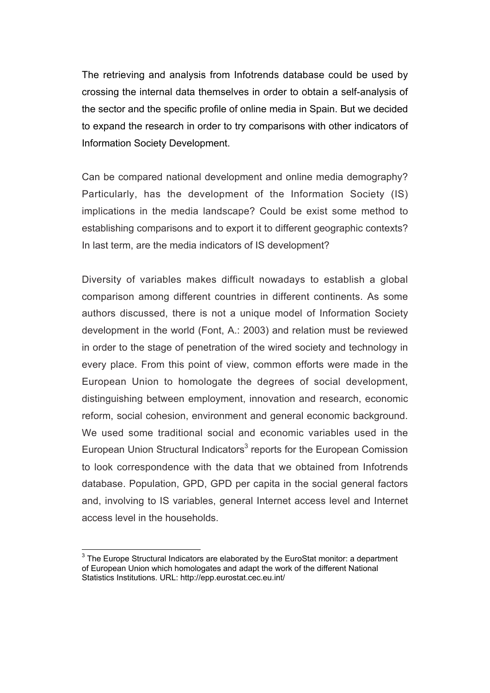The retrieving and analysis from Infotrends database could be used by crossing the internal data themselves in order to obtain a self-analysis of the sector and the specific profile of online media in Spain. But we decided to expand the research in order to try comparisons with other indicators of Information Society Development.

Can be compared national development and online media demography? Particularly, has the development of the Information Society (IS) implications in the media landscape? Could be exist some method to establishing comparisons and to export it to different geographic contexts? In last term, are the media indicators of IS development?

Diversity of variables makes difficult nowadays to establish a global comparison among different countries in different continents. As some authors discussed, there is not a unique model of Information Society development in the world (Font, A.: 2003) and relation must be reviewed in order to the stage of penetration of the wired society and technology in every place. From this point of view, common efforts were made in the European Union to homologate the degrees of social development, distinguishing between employment, innovation and research, economic reform, social cohesion, environment and general economic background. We used some traditional social and economic variables used in the European Union Structural Indicators<sup>3</sup> reports for the European Comission to look correspondence with the data that we obtained from Infotrends database. Population, GPD, GPD per capita in the social general factors and, involving to IS variables, general Internet access level and Internet access level in the households.

3 The Europe Structural Indicators are elaborated by the EuroStat monitor: a department of European Union which homologates and adapt the work of the different National Statistics Institutions. URL: http://epp.eurostat.cec.eu.int/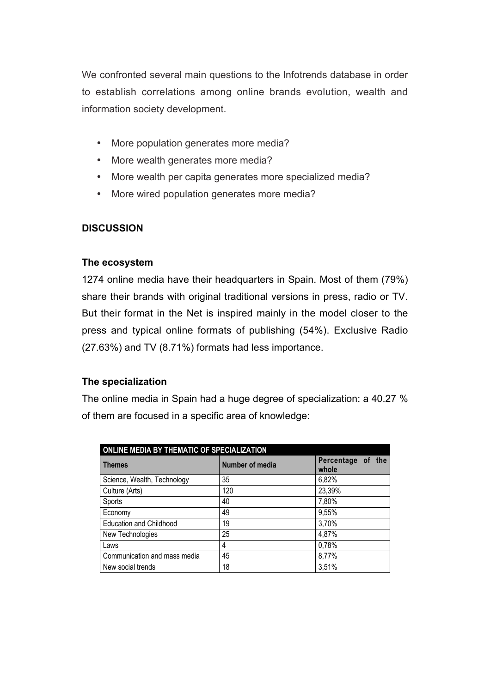We confronted several main questions to the Infotrends database in order to establish correlations among online brands evolution, wealth and information society development.

- More population generates more media?
- More wealth generates more media?
- More wealth per capita generates more specialized media?
- More wired population generates more media?

# **DISCUSSION**

# **The ecosystem**

1274 online media have their headquarters in Spain. Most of them (79%) share their brands with original traditional versions in press, radio or TV. But their format in the Net is inspired mainly in the model closer to the press and typical online formats of publishing (54%). Exclusive Radio (27.63%) and TV (8.71%) formats had less importance.

# **The specialization**

The online media in Spain had a huge degree of specialization: a 40.27 % of them are focused in a specific area of knowledge:

| <b>ONLINE MEDIA BY THEMATIC OF SPECIALIZATION</b> |                 |                            |  |  |  |  |  |
|---------------------------------------------------|-----------------|----------------------------|--|--|--|--|--|
| <b>Themes</b>                                     | Number of media | Percentage of the<br>whole |  |  |  |  |  |
| Science, Wealth, Technology                       | 35              | 6,82%                      |  |  |  |  |  |
| Culture (Arts)                                    | 120             | 23,39%                     |  |  |  |  |  |
| Sports                                            | 40              | 7,80%                      |  |  |  |  |  |
| Economy                                           | 49              | 9,55%                      |  |  |  |  |  |
| <b>Education and Childhood</b>                    | 19              | 3,70%                      |  |  |  |  |  |
| New Technologies                                  | 25              | 4,87%                      |  |  |  |  |  |
| Laws                                              | 4               | 0,78%                      |  |  |  |  |  |
| Communication and mass media                      | 45              | 8,77%                      |  |  |  |  |  |
| New social trends                                 | 18              | 3,51%                      |  |  |  |  |  |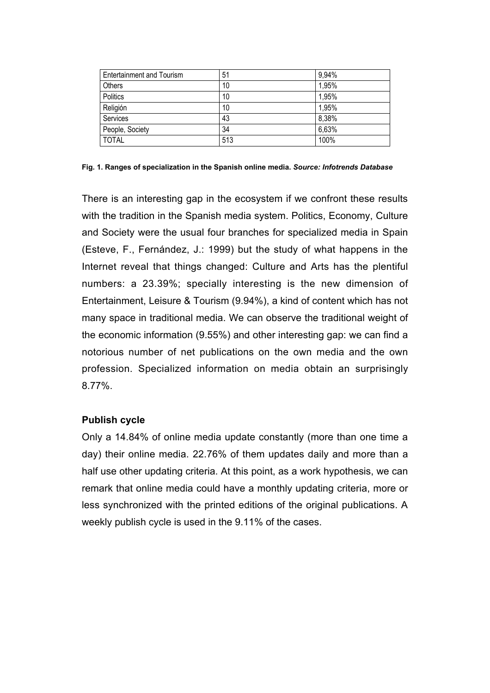| <b>Entertainment and Tourism</b> | 51  | 9.94% |
|----------------------------------|-----|-------|
| Others                           | 10  | 1,95% |
| Politics                         | 10  | 1,95% |
| Religión                         | 10  | 1,95% |
| Services                         | 43  | 8,38% |
| People, Society                  | 34  | 6,63% |
| <b>TOTAL</b>                     | 513 | 100%  |

#### **Fig. 1. Ranges of specialization in the Spanish online media.** *Source: Infotrends Database*

There is an interesting gap in the ecosystem if we confront these results with the tradition in the Spanish media system. Politics, Economy, Culture and Society were the usual four branches for specialized media in Spain (Esteve, F., Fernández, J.: 1999) but the study of what happens in the Internet reveal that things changed: Culture and Arts has the plentiful numbers: a 23.39%; specially interesting is the new dimension of Entertainment, Leisure & Tourism (9.94%), a kind of content which has not many space in traditional media. We can observe the traditional weight of the economic information (9.55%) and other interesting gap: we can find a notorious number of net publications on the own media and the own profession. Specialized information on media obtain an surprisingly 8.77%.

## **Publish cycle**

Only a 14.84% of online media update constantly (more than one time a day) their online media. 22.76% of them updates daily and more than a half use other updating criteria. At this point, as a work hypothesis, we can remark that online media could have a monthly updating criteria, more or less synchronized with the printed editions of the original publications. A weekly publish cycle is used in the 9.11% of the cases.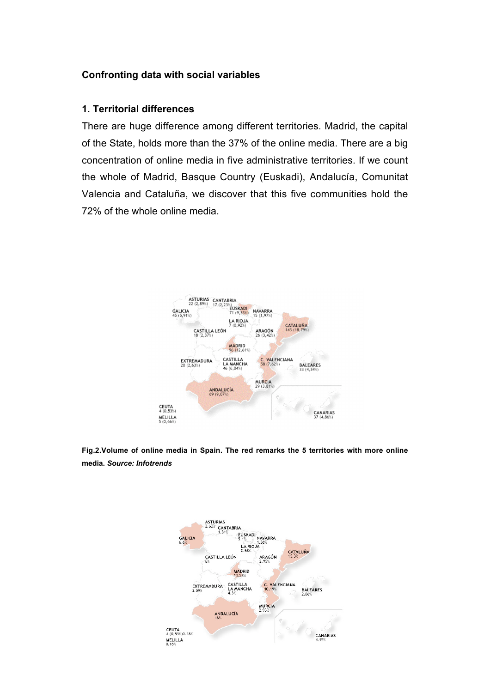# **Confronting data with social variables**

## **1. Territorial differences**

There are huge difference among different territories. Madrid, the capital of the State, holds more than the 37% of the online media. There are a big concentration of online media in five administrative territories. If we count the whole of Madrid, Basque Country (Euskadi), Andalucía, Comunitat Valencia and Cataluña, we discover that this five communities hold the 72% of the whole online media.



**Fig.2.Volume of online media in Spain. The red remarks the 5 territories with more online media.** *Source: Infotrends*

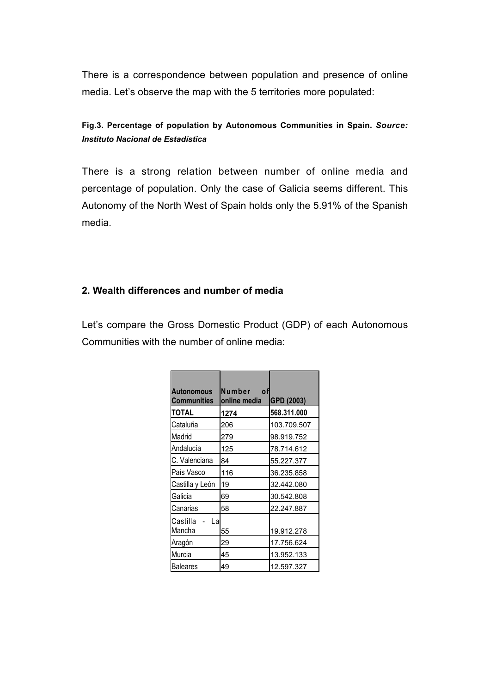There is a correspondence between population and presence of online media. Let's observe the map with the 5 territories more populated:

**Fig.3. Percentage of population by Autonomous Communities in Spain.** *Source: Instituto Nacional de Estadística*

There is a strong relation between number of online media and percentage of population. Only the case of Galicia seems different. This Autonomy of the North West of Spain holds only the 5.91% of the Spanish media.

# **2. Wealth differences and number of media**

Let's compare the Gross Domestic Product (GDP) of each Autonomous Communities with the number of online media:

| <b>Autonomous</b><br>Communities | Number<br>of<br>online media | GPD (2003)  |
|----------------------------------|------------------------------|-------------|
| <b>TOTAL</b>                     | 1274                         | 568.311.000 |
| Cataluña                         | 206                          | 103.709.507 |
| Madrid                           | 279                          | 98.919.752  |
| Andalucía                        | 125                          | 78.714.612  |
| C. Valenciana                    | 84                           | 55.227.377  |
| País Vasco                       | 116                          | 36.235.858  |
| Castilla y León                  | 19                           | 32.442.080  |
| Galicia                          | 69                           | 30.542.808  |
| Canarias                         | 58                           | 22.247.887  |
| Castilla<br>La<br>Mancha         | 55                           | 19.912.278  |
| Aragón                           | 29                           | 17.756.624  |
| Murcia                           | 45                           | 13.952.133  |
| Baleares                         | 49                           | 12.597.327  |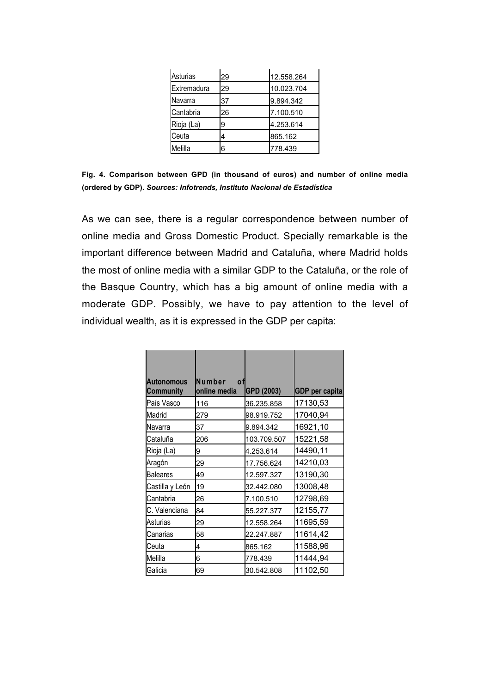| Asturias    | 29 | 12.558.264 |
|-------------|----|------------|
| Extremadura | 29 | 10.023.704 |
| Navarra     | 37 | 9.894.342  |
| Cantabria   | 26 | 7.100.510  |
| Rioja (La)  | 9  | 4.253.614  |
| Ceuta       | 4  | 865.162    |
| Melilla     | 6  | 778.439    |

**Fig. 4. Comparison between GPD (in thousand of euros) and number of online media (ordered by GDP).** *Sources: Infotrends, Instituto Nacional de Estadística*

As we can see, there is a regular correspondence between number of online media and Gross Domestic Product. Specially remarkable is the important difference between Madrid and Cataluña, where Madrid holds the most of online media with a similar GDP to the Cataluña, or the role of the Basque Country, which has a big amount of online media with a moderate GDP. Possibly, we have to pay attention to the level of individual wealth, as it is expressed in the GDP per capita:

| <b>Autonomous</b><br>Community | Number<br>o fl<br>online media | GPD (2003)  | <b>GDP</b> per capita |
|--------------------------------|--------------------------------|-------------|-----------------------|
| País Vasco                     | 116                            | 36.235.858  | 17130,53              |
| Madrid                         | 279                            | 98.919.752  | 17040,94              |
| Navarra                        | 37                             | 9.894.342   | 16921,10              |
| Cataluña                       | 206                            | 103.709.507 | 15221,58              |
| Rioja (La)                     | 9                              | 4.253.614   | 14490,11              |
| Aragón                         | 29                             | 17.756.624  | 14210,03              |
| Baleares                       | 49                             | 12.597.327  | 13190,30              |
| Castilla y León                | 19                             | 32.442.080  | 13008,48              |
| Cantabria                      | 26                             | 7.100.510   | 12798,69              |
| C. Valenciana                  | 84                             | 55.227.377  | 12155,77              |
| Asturias                       | 29                             | 12.558.264  | 11695,59              |
| Canarias                       | 58                             | 22.247.887  | 11614,42              |
| Ceuta                          | 4                              | 865.162     | 11588,96              |
| Melilla                        | 6                              | 778.439     | 11444,94              |
| Galicia                        | 69                             | 30.542.808  | 11102,50              |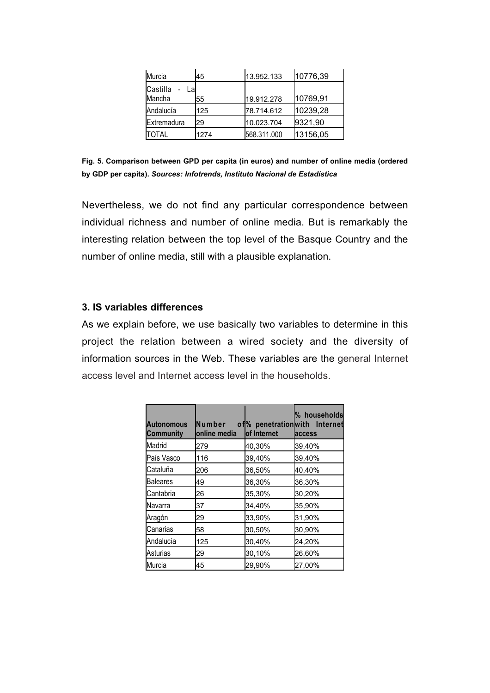| Murcia<br>45            |      | 13.952.133  | 10776,39 |  |  |
|-------------------------|------|-------------|----------|--|--|
| Castilla - La<br>Mancha | 55   | 19.912.278  | 10769,91 |  |  |
| Andalucía               | 125  | 78.714.612  | 10239,28 |  |  |
| Extremadura             | 29   | 10.023.704  | 9321,90  |  |  |
| TOTAL                   | 1274 | 568.311.000 | 13156,05 |  |  |

**Fig. 5. Comparison between GPD per capita (in euros) and number of online media (ordered by GDP per capita).** *Sources: Infotrends, Instituto Nacional de Estadística*

Nevertheless, we do not find any particular correspondence between individual richness and number of online media. But is remarkably the interesting relation between the top level of the Basque Country and the number of online media, still with a plausible explanation.

### **3. IS variables differences**

As we explain before, we use basically two variables to determine in this project the relation between a wired society and the diversity of information sources in the Web. These variables are the general Internet access level and Internet access level in the households.

| Autonomous<br>Community | Number<br>lonline media | lof Internet | % households<br>of% penetrationwith Internet<br>access |
|-------------------------|-------------------------|--------------|--------------------------------------------------------|
| Madrid                  | 279                     | 40,30%       | 39,40%                                                 |
| País Vasco              | 116                     | 39,40%       | 39,40%                                                 |
| Cataluña                | 206                     | 36,50%       | 40,40%                                                 |
| Baleares                | 49                      | 36,30%       | 36,30%                                                 |
| Cantabria               | 26                      | 35,30%       | 30,20%                                                 |
| Navarra                 | 37                      | 34,40%       | 35,90%                                                 |
| Aragón                  | 29                      | 33,90%       | 31,90%                                                 |
| Canarias                | 58                      | 30,50%       | 30,90%                                                 |
| Andalucía               | 125                     | 30,40%       | 24,20%                                                 |
| Asturias                | 29                      | 30,10%       | 26,60%                                                 |
| Murcia                  | 45                      | 29.90%       | 27,00%                                                 |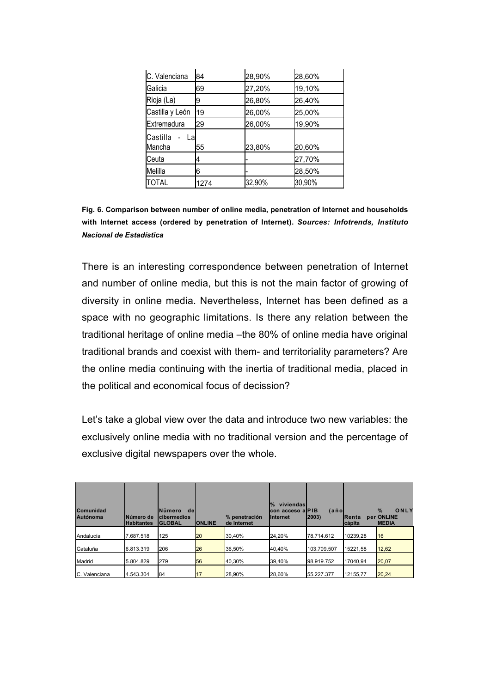| C. Valenciana             | 84   | 28,90% | 28,60% |  |
|---------------------------|------|--------|--------|--|
| Galicia                   | 69   | 27,20% | 19,10% |  |
| Rioja (La)                | 9    | 26,80% | 26,40% |  |
| Castilla y León           | 19   | 26,00% | 25,00% |  |
| Extremadura               | 29   | 26,00% | 19,90% |  |
| Castilla<br>Lal<br>Mancha | 55   | 23,80% | 20,60% |  |
| Ceuta                     |      |        | 27,70% |  |
| Melilla                   | 16   |        | 28,50% |  |
| TOTAL                     | 1274 | 32,90% | 30,90% |  |

**Fig. 6. Comparison between number of online media, penetration of Internet and households with Internet access (ordered by penetration of Internet).** *Sources: Infotrends, Instituto Nacional de Estadística*

There is an interesting correspondence between penetration of Internet and number of online media, but this is not the main factor of growing of diversity in online media. Nevertheless, Internet has been defined as a space with no geographic limitations. Is there any relation between the traditional heritage of online media –the 80% of online media have original traditional brands and coexist with them- and territoriality parameters? Are the online media continuing with the inertia of traditional media, placed in the political and economical focus of decission?

Let's take a global view over the data and introduce two new variables: the exclusively online media with no traditional version and the percentage of exclusive digital newspapers over the whole.

| <b>Comunidad</b><br>Autónoma | Número de<br><b>Habitantes</b> | Nümero<br>de<br><b>cibermedios</b><br><b>IGLOBAL</b> | <b>ONLINE</b> | % penetración<br>de Internet | viviendas<br>$\frac{10}{6}$<br>con acceso alPIB<br><b>Internet</b> | (añol<br>2003) | <b>IRenta</b><br>cápita | ONLY<br>$\frac{9}{6}$<br>per ONLINE<br><b>MEDIA</b> |
|------------------------------|--------------------------------|------------------------------------------------------|---------------|------------------------------|--------------------------------------------------------------------|----------------|-------------------------|-----------------------------------------------------|
| Andalucía                    | 7.687.518                      | 125                                                  | 20            | 30.40%                       | 24,20%                                                             | 78.714.612     | 10239.28                | 16                                                  |
| Cataluña                     | 6.813.319                      | 206                                                  | 26            | 36,50%                       | 40,40%                                                             | 103.709.507    | 15221,58                | 12,62                                               |
| Madrid                       | 5.804.829                      | 279                                                  | 56            | 40.30%                       | 39,40%                                                             | 98.919.752     | 17040,94                | 20,07                                               |
| C. Valenciana                | 4.543.304                      | 84                                                   | 17            | 28.90%                       | 28.60%                                                             | 55.227.377     | 12155.77                | 20,24                                               |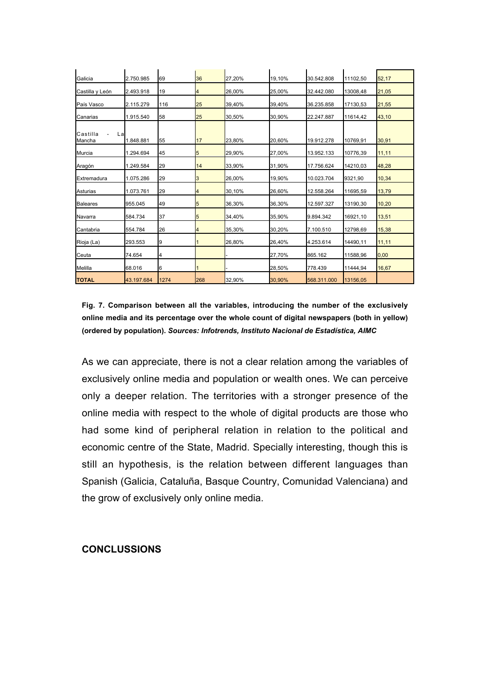| Galicia            | 2.750.985       | 69   | 36                      | 27,20% | 19,10% | 30.542.808  | 11102,50 | 52,17 |
|--------------------|-----------------|------|-------------------------|--------|--------|-------------|----------|-------|
| Castilla y León    | 2.493.918       | 19   | $\overline{\mathbf{4}}$ | 26,00% | 25,00% | 32.442.080  | 13008,48 | 21,05 |
| País Vasco         | 2.115.279       | 116  | 25                      | 39,40% | 39,40% | 36.235.858  | 17130,53 | 21,55 |
| Canarias           | 1.915.540       | 58   | 25                      | 30,50% | 30,90% | 22.247.887  | 11614,42 | 43,10 |
| Castilla<br>Mancha | La<br>1.848.881 | 55   | 17                      | 23.80% | 20.60% | 19.912.278  | 10769,91 | 30.91 |
| Murcia             | 1.294.694       | 45   | 5                       | 29,90% | 27,00% | 13.952.133  | 10776,39 | 11,11 |
| Aragón             | 1.249.584       | 29   | 14                      | 33,90% | 31,90% | 17.756.624  | 14210,03 | 48,28 |
| Extremadura        | 1.075.286       | 29   | 3                       | 26,00% | 19,90% | 10.023.704  | 9321,90  | 10,34 |
| Asturias           | 1.073.761       | 29   | $\vert 4 \vert$         | 30,10% | 26,60% | 12.558.264  | 11695,59 | 13,79 |
| <b>Baleares</b>    | 955.045         | 49   | 5                       | 36,30% | 36,30% | 12.597.327  | 13190,30 | 10,20 |
| Navarra            | 584.734         | 37   | 5                       | 34,40% | 35,90% | 9.894.342   | 16921,10 | 13,51 |
| Cantabria          | 554.784         | 26   | 4                       | 35,30% | 30,20% | 7.100.510   | 12798,69 | 15,38 |
| Rioja (La)         | 293.553         | 9    |                         | 26,80% | 26,40% | 4.253.614   | 14490,11 | 11,11 |
| Ceuta              | 74.654          | 4    |                         |        | 27,70% | 865.162     | 11588,96 | 0,00  |
| Melilla            | 68.016          | 6    | 11                      |        | 28,50% | 778.439     | 11444,94 | 16,67 |
| <b>TOTAL</b>       | 43.197.684      | 1274 | 268                     | 32,90% | 30,90% | 568.311.000 | 13156,05 |       |

**Fig. 7. Comparison between all the variables, introducing the number of the exclusively online media and its percentage over the whole count of digital newspapers (both in yellow) (ordered by population).** *Sources: Infotrends, Instituto Nacional de Estadística, AIMC*

As we can appreciate, there is not a clear relation among the variables of exclusively online media and population or wealth ones. We can perceive only a deeper relation. The territories with a stronger presence of the online media with respect to the whole of digital products are those who had some kind of peripheral relation in relation to the political and economic centre of the State, Madrid. Specially interesting, though this is still an hypothesis, is the relation between different languages than Spanish (Galicia, Cataluña, Basque Country, Comunidad Valenciana) and the grow of exclusively only online media.

## **CONCLUSSIONS**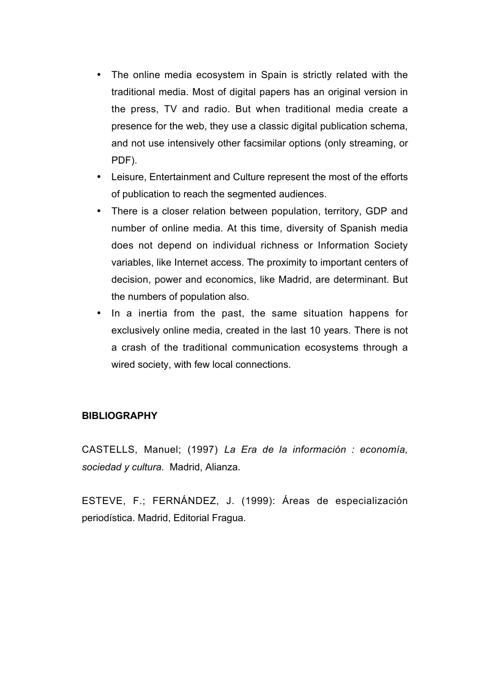- The online media ecosystem in Spain is strictly related with the traditional media. Most of digital papers has an original version in the press, TV and radio. But when traditional media create a presence for the web, they use a classic digital publication schema, and not use intensively other facsimilar options (only streaming, or PDF).
- Leisure, Entertainment and Culture represent the most of the efforts of publication to reach the segmented audiences.
- There is a closer relation between population, territory, GDP and number of online media. At this time, diversity of Spanish media does not depend on individual richness or Information Society variables, like Internet access. The proximity to important centers of decision, power and economics, like Madrid, are determinant. But the numbers of population also.
- In a inertia from the past, the same situation happens for exclusively online media, created in the last 10 years. There is not a crash of the traditional communication ecosystems through a wired society, with few local connections.

## **BIBLIOGRAPHY**

CASTELLS, Manuel; (1997) *La Era de la información : economía, sociedad y cultura.* Madrid, Alianza.

ESTEVE, F.; FERNÁNDEZ, J. (1999): Áreas de especialización periodística. Madrid, Editorial Fragua.